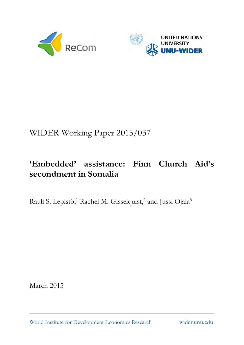



# WIDER Working Paper 2015/037

# **'Embedded' assistance: Finn Church Aid's secondment in Somalia**

Rauli S. Lepistö,<sup>1</sup> Rachel M. Gisselquist,<sup>2</sup> and Jussi Ojala<sup>3</sup>

March 2015

World Institute for Development Economics Research wider.unu.edu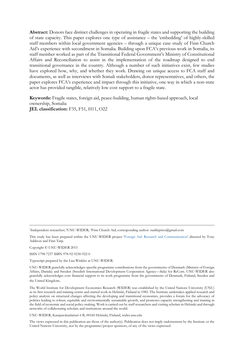**Abstract:** Donors face distinct challenges in operating in fragile states and supporting the building of state capacity. This paper explores one type of assistance – the 'embedding' of highly-skilled staff members within local government agencies – through a unique case study of Finn Church Aid's experience with secondment in Somalia. Building upon FCA's previous work in Somalia, its staff member worked as part of the Transitional Federal Government's Ministry of Constitutional Affairs and Reconciliation to assist in the implementation of the roadmap designed to end transitional governance in the country. Although a number of such initiatives exist, few studies have explored how, why, and whether they work. Drawing on unique access to FCA staff and documents, as well as interviews with Somali stakeholders, donor representatives, and others, the paper explores FCA's experience and impact through this initiative, one way in which a non-state actor has provided tangible, relatively low cost support to a fragile state.

**Keywords:** Fragile states, foreign aid, peace-building, human rights-based approach, local ownership, Somalia **JEL classification:** F35, F51, H11, O22

1Independent researcher; 2UNU-WIDER; 3Finn Church Aid; corresponding author: raulilepisto@gmail.com

This study has been prepared within the UNU-WIDER project 'Foreign Aid: Research and Communication' directed by Tony Addison and Finn Tarp.

Copyright © UNU-WIDER 2015

ISSN 1798-7237 ISBN 978-92-9230-922-0

Typescript prepared by the Lisa Winkler at UNU-WIDER.

UNU-WIDER gratefully acknowledges specific programme contributions from the governments of Denmark (Ministry of Foreign Affairs, Danida) and Sweden (Swedish International Development Cooperation Agency—Sida) for ReCom. UNU-WIDER also gratefully acknowledges core financial support to its work programme from the governments of Denmark, Finland, Sweden and the United Kingdom.

The World Institute for Development Economics Research (WIDER) was established by the United Nations University (UNU) as its first research and training centre and started work in Helsinki, Finland in 1985. The Institute undertakes applied research and policy analysis on structural changes affecting the developing and transitional economies, provides a forum for the advocacy of policies leading to robust, equitable and environmentally sustainable growth, and promotes capacity strengthening and training in the field of economic and social policy-making. Work is carried out by staff researchers and visiting scholars in Helsinki and through networks of collaborating scholars and institutions around the world.

UNU-WIDER, Katajanokanlaituri 6 B, 00160 Helsinki, Finland, wider.unu.edu

The views expressed in this publication are those of the author(s). Publication does not imply endorsement by the Institute or the United Nations University, nor by the programme/project sponsors, of any of the views expressed.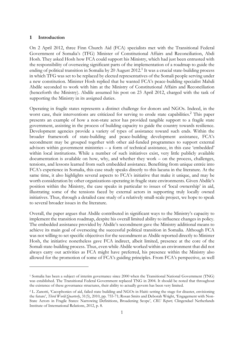#### **1 Introduction**

<u>.</u>

On 2 April 2012, three Finn Church Aid (FCA) specialists met with the Transitional Federal Government of Somalia's (TFG) Minister of Constitutional Affairs and Reconciliation, Abdi Hosh. They asked Hosh how FCA could support his Ministry, which had just been entrusted with the responsibility of overseeing significant parts of the implementation of a roadmap to guide the ending of political transition in Somalia by 20 August 2012.<sup>1</sup> It was a crucial state-building process in which TFG was set to be replaced by elected representatives of the Somali people serving under a new constitution. Minister Hosh replied that he wanted FCA's peace-building specialist Mahdi Abdile seconded to work with him at the Ministry of Constitutional Affairs and Reconciliation (henceforth the Ministry). Abdile assumed his post on 23 April 2012, charged with the task of supporting the Ministry in its assigned duties.

Operating in fragile states represents a distinct challenge for donors and NGOs. Indeed, in the worst case, their interventions are criticized for serving to erode state capabilities.<sup>2</sup> This paper presents an example of how a non-state actor has provided tangible support to a fragile state government, assisting in the process of building capacity to guide the country towards resilience. Development agencies provide a variety of types of assistance toward such ends. Within the broader framework of state-building and peace-building development assistance, FCA's secondment may be grouped together with other aid-funded programmes to support external advisors within government ministries – a form of technical assistance, in this case 'embedded' within local institutions. While a number of such initiatives exist, very little publicly available documentation is available on how, why, and whether they work – on the process, challenges, tensions, and lessons learned from such embedded assistance. Benefiting from unique entrée into FCA's experience in Somalia, this case study speaks directly to this lacuna in the literature. At the same time, it also highlights several aspects to FCA's initiative that make it unique, and may be worth consideration by other organizations operating in fragile state environments. Given Abdile's position within the Ministry, the case speaks in particular to issues of 'local ownership' in aid, illustrating some of the tensions faced by external actors in supporting truly locally owned initiatives. Thus, through a detailed case study of a relatively small-scale project, we hope to speak to several broader issues in the literature.

Overall, the paper argues that Abdile contributed in significant ways to the Ministry's capacity to implement the transition roadmap, despite his overall limited ability to influence changes in policy. The embedded assistance provided by Abdile's secondment gave the Ministry additional means to achieve its main goal of overseeing the successful political transition in Somalia. Although FCA was not willing to set specific objectives for the secondment as Abdile reported directly to Minister Hosh, the initiative nonetheless gave FCA indirect, albeit limited, presence at the core of the Somali state-building process. Thus, even while Abdile worked within an environment that did not always carry out activities as FCA might have preferred, his presence within the Ministry also allowed for the promotion of some of FCA's guiding principles. From FCA's perspective, as well

<sup>1</sup> Somalia has been a subject of interim governance since 2000 when the Transitional National Government (TNG) was established. The Transitional Federal Government replaced TNG in 2004. It should be noted that throughout the existence of these governance structures, their ability to actually govern has been very limited.

<sup>2</sup> L. Zanotti, 'Cacophonies of aid, failed state building and NGOs in Haiti: setting the stage for disaster, envisioning the future', *Third World Quarterly*, 31(5), 2010, pp. 755-71; Rosan Smits and Deborah Wright, 'Engagement with Non-State Actors in Fragile States: Narrowing Definitions, Broadening Scope', *CRU Report,* Clingendael Netherlands Institute of International Relations, 2012, p. 8.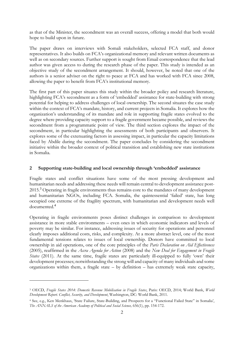as that of the Minister, the secondment was an overall success, offering a model that both would hope to build upon in future.

The paper draws on interviews with Somali stakeholders, selected FCA staff, and donor representatives. It also builds on FCA's organizational memory and relevant written documents as well as on secondary sources. Further support is sought from Email correspondence that the lead author was given access to during the research phase of the paper. This study is intended as an objective study of the secondment arrangement. It should, however, be noted that one of the authors is a senior adviser on the right to peace at FCA and has worked with FCA since 2008, allowing the paper to benefit from FCA's institutional memory.

The first part of this paper situates this study within the broader policy and research literature, highlighting FCA's secondment as a form of 'embedded' assistance for state-building with strong potential for helping to address challenges of local ownership. The second situates the case study within the context of FCA's mandate, history, and current projects in Somalia. It explores how the organization's understanding of its mandate and role in supporting fragile states evolved to the degree where providing capacity support to a fragile government became possible, and reviews the secondment from a programmatic point of view. The third section explores the impact of the secondment, in particular highlighting the assessments of both participants and observers. It explores some of the extenuating factors in assessing impact, in particular the capacity limitations faced by Abdile during the secondment. The paper concludes by considering the secondment initiative within the broader context of political transition and establishing new state institutions in Somalia.

# **2 Supporting state-building and local ownership through 'embedded' assistance**

Fragile states and conflict situations have some of the most pressing development and humanitarian needs and addressing these needs will remain central to development assistance post-2015.<sup>3</sup> Operating in fragile environments thus remains core to the mandates of many development and humanitarian NGOs, including FCA. Somalia, the quintessential 'failed' state, has long occupied one extreme of the fragility spectrum, with humanitarian and development needs well documented.<sup>4</sup>

Operating in fragile environments poses distinct challenges in comparison to development assistance in more stable environments – even ones in which economic indicators and levels of poverty may be similar. For instance, addressing issues of security for operations and personnel clearly imposes additional costs, risks, and complexity. At a more abstract level, one of the most fundamental tensions relates to issues of local ownership. Donors have committed to local ownership in aid operations, one of the core principles of the *Paris Declaration on Aid Effectiveness* (2005), reaffirmed in the *Accra Agenda for Action* (2008) and the *New Deal for Engagement in Fragile States* (2011). At the same time, fragile states are particularly ill-equipped to fully 'own' their development processes; notwithstanding the strong will and capacity of many individuals and some organizations within them, a fragile state – by definition – has extremely weak state capacity,

<sup>3</sup> OECD, *Fragile States 2014: Domestic Revenue Mobilisation in Fragile States*, Paris: OECD, 2014; World Bank, *World Development Report. Conflict, Security, and Development*, Washington, DC: World Bank, 2011.

<sup>4</sup> See, e.g., Ken Menkhaus, 'State Failure, State-Building, and Prospects for a "Functional Failed State" in Somalia', *The ANNALS of the American Academy of Political and Social Science,* 656(1), pp. 154-172.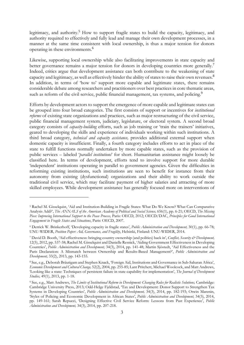legitimacy, and authority.<sup>5</sup> How to support fragile states to build the capacity, legitimacy, and authority required to effectively and fully lead and manage their own development processes, in a manner at the same time consistent with local ownership, is thus a major tension for donors operating in these environments.<sup>6</sup>

Likewise, supporting local ownership while also facilitating improvements in state capacity and better governance remains a major tension for donors in developing countries more generally.<sup>7</sup> Indeed, critics argue that development assistance can both contribute to the weakening of state capacity and legitimacy, as well as effectively hinder the ability of states to raise their own revenues.<sup>8</sup> In addition, in terms of 'how to' support more capable and legitimate states, there remains considerable debate among researchers and practitioners over best practices in core thematic areas, such as reform of the civil service, public financial management, tax systems, and policing.<sup>9</sup>

Efforts by development actors to support the emergence of more capable and legitimate states can be grouped into four broad categories. The first consists of support or incentives for *institutional reforms* of existing state organizations and practices, such as major restructuring of the civil service, public financial management system, judiciary, legislature, or electoral system. A second broad category consists of *capacity-building* efforts, such as job training or 'train the trainers' initiatives, geared to developing the skills and experience of individuals working within such institutions. A third broad category, *technical and capacity assistance,* provides additional external support when domestic capacity is insufficient. Finally, a fourth category includes efforts to act in place of the state to fulfill functions normally undertaken by more capable states, such as the provision of public services – labeled '*parallel institutions*' for short. Humanitarian assistance might loosely be classified here. In terms of development, efforts tend to involve support for more durable 'independent' institutions operating in parallel to government agencies. Given the difficulties in reforming existing institutions, such institutions are seen to benefit for instance from their autonomy from existing (dysfunctional) organizations and their ability to work outside the traditional civil service, which may facilitate payment of higher salaries and attracting of more skilled employees. While development assistance has generally focused more on interventions of

<sup>5</sup> Rachel M. Gisselquist, 'Aid and Institution-Building in Fragile States: What Do We Know? What Can Comparative Analysis Add?', *The ANNALS of the American Academy of Political and Social Science,* 656(1), pp. 6-21; OECD, *The Missing Piece: Improving International Support to the Peace Process,* Paris: OECD, 2012; OECD/DAC, *Principles for Good International Engagement in Fragile States and Situations*, Paris: OECD, 2007.

<sup>6</sup> Derrick W. Brinkerhoff, 'Developing capacity in fragile states', *Public Administration and Development,* 30(1), pp. 66-78; UNU-WIDER, *Position Paper: Aid, Governance, and Fragility*, Helsinki, Finland: UNU-WIDER, 2014.

<sup>7</sup> David D. Booth, 'Aid effectiveness: bringing country ownership (and politics) back in', *Conflict, Security & Development,*  12(5), 2012, pp. 537-58; Rachel M. Gisselquist and Danielle Resnick, 'Aiding Government Effectiveness in Developing Countries', *Public Administration and Development,* 34(3), 2014, pp. 141-48; Martin Sjöstedt, 'Aid Effectiveness and the Paris Declaration: A Mismatch between Ownership and Results-Based Management?', *Public Administration and Development,* 33(2), 2013, pp. 143-155.

<sup>8</sup> See, e.g., Deborah Bräutigam and Stephen Knack, 'Foreign Aid, Institutions and Governance in Sub-Saharan Africa', *Economic Development and Cultural Change,* 52(2), 2004, pp. 255-85; Lant Pritchett, Michael Woolcock, and Matt Andrews, 'Looking like a state: Techniques of persistent failure in state capability for implementation', *The Journal of Development Studies,* 49(1), 2013, pp. 1-18.

<sup>&</sup>lt;sup>9</sup> See, e.g., Matt Andrews, *The Limits of Institutional Reform in Development: Changing Rules for Realistic Solutions, Cambridge:* Cambridge University Press, 2013; Odd-Helge Fjeldstad, 'Tax and Development: Donor Support to Strengthen Tax Systems in Developing Countries', *Public Administration and Development,* 34(3), 2014, pp. 182-193; Otwin Marenin, 'Styles of Policing and Economic Development in African States', *Public Administration and Development,* 34(3), 2014, pp. 149-161; Sarah Repucci, 'Designing Effective Civil Service Reform: Lessons from Past Experience', *Public Administration and Development,* 34(3), 2014, pp. 207-218.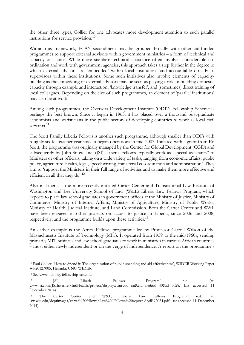the other three types, Collier for one advocates more development attention to such parallel institutions for service provision.<sup>10</sup>

Within this framework, FCA's secondment may be grouped broadly with other aid-funded programmes to support external advisors within government ministries – a form of technical and capacity assistance. While more standard technical assistance often involves considerable coordination and work with government agencies, this approach takes a step further in the degree to which external advisors are 'embedded' within local institutions and accountable directly to supervisors within these institutions. Some such initiatives also involve elements of capacitybuilding as the embedding of external advisors may be seen as playing a role in building domestic capacity through example and interaction, 'knowledge transfer', and (sometimes) direct training of local colleagues. Depending on the size of such programmes, an element of 'parallel institutions' may also be at work.

Among such programmes, the Overseas Development Institute (ODI)'s Fellowship Scheme is perhaps the best known. Since it began in 1963, it has placed over a thousand post-graduate economists and statisticians in the public sectors of developing countries to work as local civil servants.<sup>11</sup>

The Scott Family Liberia Fellows is another such programme, although smaller than ODI's with roughly six fellows per year since it began operations in mid-2007. Initiated with a grant from Ed Scott, the programme was originally managed by the Center for Global Development (CGD) and subsequently by John Snow, Inc. (JSI). Liberia Fellows 'typically work as "special assistants" to Ministers or other officials, taking on a wide variety of tasks, ranging from economic affairs, public policy, agriculture, health, legal, speechwriting, ministerial co-ordination and administration'. They aim to 'support the Ministers in their full range of activities and to make them more effective and efficient in all that they do'.<sup>12</sup>

Also in Liberia is the more recently initiated Carter Center and Transnational Law Institute of Washington and Lee University School of Law (W&L) Liberia Law Fellows Program, which expects to place law school graduates in government offices at the Ministry of Justice, Ministry of Commerce, Ministry of Internal Affairs, Ministry of Agriculture, Ministry of Public Works, Ministry of Health, Judicial Institute, and Land Commission. Both the Carter Center and W&L have been engaged in other projects on access to justice in Liberia, since 2006 and 2008, respectively, and the programme builds upon these activities.<sup>13</sup>

An earlier example is the Africa Fellows programme led by Professor Carroll Wilson of the Massachusetts Institute of Technology (MIT). It operated from 1959 to the mid-1960s, sending primarily MIT business and law school graduates to work in ministries in various African countries – most either newly independent or on the verge of independence. A report on the programme's

<sup>10</sup> Paul Collier, 'How to Spend it: The organization of public spending and aid effectiveness', WIDER Working Paper WP2012/005, Helsinki: UNU-WIDER.

<sup>11</sup> See www.odi.org/fellowship-scheme.

<sup>12</sup> JSI, 'Liberia Fellows Program', n.d. (at: www.jsi.com/JSIInternet/IntlHealth/project/display.cfm?ctid=na&cid=na&tid=40&id=5028, last accessed 11 December 2014).

<sup>13</sup> The Carter Center and W&L, 'Liberia Law Fellows Program', n.d. (at: law.wlu.edu/deptimages/carter%20fellows/Law%20Fellows%20report-April%2024.pdf, last accessed 11 December 2014).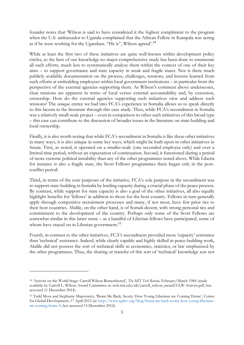founder notes that 'Wilson is said to have considered it the highest compliment to the program when the U.S. ambassador to Uganda complained that the African Fellow in Kampala was acting as if he were working for the Ugandans. "He is", Wilson agreed'.<sup>14</sup>

While at least the first two of these initiatives are quite well-known within development policy circles, to the best of our knowledge no major comprehensive study has been done to enumerate all such efforts, much less to systematically analyse them within the context of one of their key aims – to support governance and state capacity in weak and fragile states. Nor is there much publicly available documentation on the process, challenges, tensions, and lessons learned from such efforts at embedding employees within local government institutions – in particular from the perspective of the external agencies supporting them. As Wilson's comment above underscores, clear tensions are apparent in terms of local versus external accountability and, by extension, ownership. How do the external agencies supporting such initiatives view and address such tensions? The unique entree we had into FCA's experience in Somalia allows us to speak directly to this lacuna in the literature through this case study. Thus, while FCA's secondment in Somalia was a relatively small-scale project – even in comparison to other such initiatives of this broad type – this case can contribute to the discussion of broader issues in the literature on state-building and local ownership.

Finally, it is also worth noting that while FCA's secondment in Somalia is like these other initiatives in many ways, it is also unique in some key ways, which might be built upon in other initiatives in future. First, as noted, it operated on a smaller-scale (one seconded employee only) and over a limited time period, without an expectation of continuation. Second, it functioned during a period of more extreme political instability than any of the other programmes noted above. While Liberia for instance is also a fragile state, the Scott Fellows programmes there began only in the postconflict period.

Third, in terms of the core purposes of the initiative, FCA's sole purpose in the secondment was to support state-building in Somalia by lending capacity during a crucial phase of the peace process. By contrast, while support for state capacity is also a goal of the other initiatives, all also equally highlight benefits for 'fellows' in addition to those for the host country. Fellows in turn generally apply through competitive recruitment processes and many, if not most, have few prior ties to their host countries. Abdile, on the other hand, is of Somali-decent, with strong personal ties and commitment to the development of the country. Perhaps only some of the Scott Fellows are somewhat similar in this latter sense – as a handful of Liberian fellows have participated, some of whom have stayed on in Liberian government.<sup>15</sup>

Fourth, in contrast to the other initiatives, FCA's secondment provided more 'capacity' assistance than 'technical' assistance. Indeed, while clearly capable and highly skilled in peace-building work, Abdile did not possess the sort of technical skills in economics, statistics, or law emphasized by the other programmes. Thus, the sharing or transfer of this sort of 'technical' knowledge was not

<sup>14 &#</sup>x27;Activist on the World Stage: Carroll Wilson Remembered', *The MIT Tech Review,* February/March 1984 (made available by Carroll L. Wilson Award Committee at: web.mit.edu/idi/carroll\_wilson\_award/CLW-Activist.pdf, last accessed 11 December 2014).

<sup>15</sup> Todd Moss and Stephanie Majerowicz, 'Beam Me Back, Scotty: How Young Liberians are Coming Home', Center for Global Development, 17 April 2012 (at: http://www.cgdev.org/blog/beam-me-back-scotty-how-young-liberiansare-coming-home-0, last accessed 15 December 2014).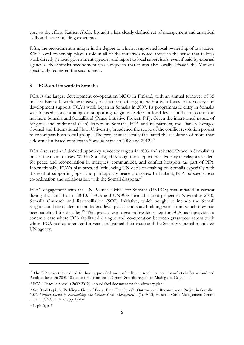core to the effort. Rather, Abdile brought a less clearly defined set of management and analytical skills and peace-building experience.

Fifth, the secondment is unique in the degree to which it supported local ownership of assistance. While local ownership plays a role in all of the initiatives noted above in the sense that fellows work directly *for* local government agencies and report to local supervisors, even if paid by external agencies, the Somalia secondment was unique in that it was also locally *initiated*: the Minister specifically requested the secondment.

## **3 FCA and its work in Somalia**

FCA is the largest development co-operation NGO in Finland, with an annual turnover of 35 million Euros. It works extensively in situations of fragility with a twin focus on advocacy and development support. FCA's work began in Somalia in 2007. Its programmatic entry in Somalia was focused, concentrating on supporting religious leaders in local level conflict resolution in northern Somalia and Somaliland (Peace Initiative Project, PiP). Given the intertwined nature of religious and traditional (clan) leaders in Somalia, FCA and its partners, the Danish Refugee Council and International Horn University, broadened the scope of the conflict resolution project to encompass both social groups. The project successfully facilitated the resolution of more than a dozen clan-based conflicts in Somalia between 2008 and 2012.<sup>16</sup>

FCA discussed and decided upon key advocacy targets in 2009 and selected 'Peace in Somalia' as one of the main focuses. Within Somalia, FCA sought to support the advocacy of religious leaders for peace and reconciliation in mosques, communities, and conflict hotspots (as part of PiP). Internationally, FCA's plan stressed influencing UN decision-making on Somalia especially with the goal of supporting open and participatory peace processes. In Finland, FCA pursued closer co-ordination and collaboration with the Somali diaspora.<sup>17</sup>

FCA's engagement with the UN Political Office for Somalia (UNPOS) was initiated in earnest during the latter half of 2010.<sup>18</sup> FCA and UNPOS formed a joint project in November 2010, Somalia Outreach and Reconciliation (SOR) Initiative, which sought to include the Somali religious and clan elders to the federal level peace- and state-building work from which they had been sidelined for decades.<sup>19</sup> This project was a groundbreaking step for FCA, as it provided a concrete case where FCA facilitated dialogue and co-operation between grassroots actors (with whom FCA had co-operated for years and gained their trust) and the Security Council-mandated UN agency.

<sup>&</sup>lt;sup>16</sup> The PiP project is credited for having provided successful dispute resolution to 11 conflicts in Somaliland and Puntland between 2008-10 and to three conflicts in Central Somalia regions of Mudug and Galguduud.

<sup>&</sup>lt;sup>17</sup> FCA, "Peace in Somalia 2009-2012', unpublished document on the advocacy plan.

<sup>18</sup> See Rauli Lepistö, 'Building a Piece of Peace: Finn Church Aid's Outreach and Reconciliation Project in Somalia', *CMC Finland Studies in Peacebuilding and Civilian Crisis Management*, 4(1), 2013, Helsinki: Crisis Management Centre Finland (CMC Finland), pp. 12-14.

<sup>19</sup> Lepistö, p. 5.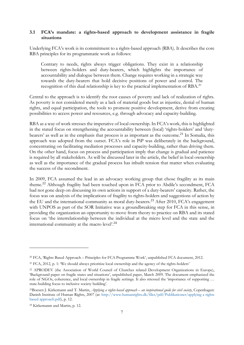## **3.1 FCA's mandate: a rights-based approach to development assistance in fragile situations**

Underlying FCA's work is its commitment to a rights-based approach (RBA). It describes the core RBA principles for its programmatic work as follows:

Contrary to needs, rights always trigger obligations. They exist in a relationship between rights-holders and duty-bearers, which highlights the importance of accountability and dialogue between them. Change requires working in a strategic way towards the duty-bearers that hold decisive positions of power and control. The recognition of this dual relationship is key to the practical implementation of RBA.<sup>20</sup>

Central to the approach is to identify the root causes of poverty and lack of realization of rights. As poverty is not considered merely as a lack of material goods but as injustice, denial of human rights, and equal participation, the tools to promote positive development, derive from creating possibilities to access power and resources, e.g. through advocacy and capacity-building.

RBA as a way of work stresses the imperative of local ownership. In FCA's work, this is highlighted in the stated focus on strengthening the accountability between (local) 'rights-holders' and 'dutybearers' as well as in the emphasis that process is as important as the outcome.<sup>21</sup> In Somalia, this approach was adopted from the outset. FCA's role in PiP was deliberately in the background, concentrating on facilitating mediation processes and capacity-building, rather than driving them. On the other hand, focus on process and participation imply that change is gradual and patience is required by all stakeholders. As will be discussed later in the article, the belief in local ownership as well as the importance of the gradual process has inbuilt tension that matter when evaluating the success of the secondment.

In 2009, FCA assumed the lead in an advocacy working group that chose fragility as its main theme.<sup>22</sup> Although fragility had been touched upon in FCA prior to Abdile's secondment, FCA had not gone deep on discussing its own actions in support of a duty-bearers' capacity. Rather, the focus was on analysis of the implications of fragility to rights-holders and suggestions of action by the EU and the international community as moral duty-bearers.<sup>23</sup> After 2010, FCA's engagement with UNPOS as part of the SOR Initiative was a groundbreaking step for FCA in this sense, in providing the organization an opportunity to move from theory to practice on RBA and its stated focus on 'the interrelationship between the individual at the micro level and the state and the international community at the macro level'.<sup>24</sup>

<sup>20</sup> FCA, 'Rights Based Approach – Principles for FCA Programme Work', unpublished FCA document, 2012.

<sup>21</sup> FCA, 2012, p. 1: 'We should always prioritize local ownership and the agency of the rights-holders'

<sup>22</sup> APRODEV (the Association of World Council of Churches related Development Organizations in Europe), 'Background paper on fragile states and situations', unpublished paper, March 2009. The document emphasized the role of NGOs, coherence, and local ownership in fragile settings. It also stressed the 'importance of supporting ... state-building focus to inclusive society building'.

<sup>23</sup>Boesen J. Kirkemann and T. Martin, *Applying a rights-based approach – an inspirational guide for civil society*, Copenhagen: Danish Institute of Human Rights, 2007 (at: http://www.humanrights.dk/files/pdf/Publikationer/applying a rights based approach.pdf), p. 12.

<sup>24</sup> Kirkemanm and Martin, p. 12.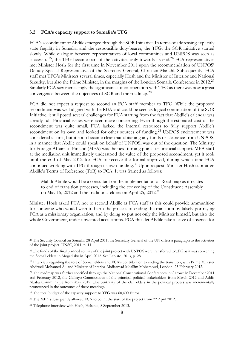#### **3.2 FCA's capacity support to Somalia's TFG**

FCA's secondment of Abdile emerged through the SOR Initiative. In terms of addressing explicitly state fragility in Somalia, and the responsible duty-bearer, the TFG, the SOR initiative started slowly. While dialogue between representatives of local communities and UNPOS was seen as successful<sup>25</sup>, the TFG became part of the activities only towards its end.<sup>26</sup> FCA representatives met Minister Hosh for the first time in November 2011 upon the recommendation of UNPOS' Deputy Special Representative of the Secretary General, Christian Manahl. Subsequently, FCA staff met TFG's Ministers several times, especially Hosh and the Minister of Interior and National Security, but also the Prime Minister, in the margins of the London Somalia Conference in 2012.<sup>27</sup> Similarly FCA saw increasingly the significance of co-operation with TFG as there was now a great convergence between the objectives of SOR and the roadmap.<sup>28</sup>

FCA did not expect a request to second an FCA staff member to TFG. While the proposed secondment was well-aligned with the RBA and could be seen as logical continuation of the SOR Initiative, it still posed several challenges for FCA starting from the fact that Abdile's calendar was already full. Financial issues were even more concerning. Even though the estimated cost of the secondment was quite small, FCA lacked the internal resources to fully support Abdile's secondment on its own and looked for other sources of funding.<sup>29</sup> UNPOS endorsement was considered at first, but it soon became clear that obtaining any funds or clearance from UNPOS, in a manner that Abdile could speak on behalf of UNPOS, was out of the question. The Ministry for Foreign Affairs of Finland (MFA) was the next turning point for financial support. MFA staff at the mediation unit immediately understood the value of the proposed secondment, yet it took until the end of May 2012 for FCA to receive the formal approval, during which time FCA continued working with TFG through its own funding.<sup>30</sup> Upon request, Minister Hosh submitted Abdile's Terms of Reference (ToR) to FCA. It was framed as follows:

Mahdi Abdile would be a consultant on the implementation of Road map as it relates to end of transition processes, including the convening of the Constituent Assembly on May 15, 2012 and the traditional elders on April 25, 2012.<sup>31</sup>

Minister Hosh asked FCA not to second Abdile as FCA staff as this could provide ammunition for someone who would wish to harm the process of ending the transition by falsely portraying FCA as a missionary organization, and by doing so put not only the Minister himself, but also the whole Government, under unwanted accusations. FCA thus let Abdile take a leave of absence for

<sup>&</sup>lt;sup>25</sup> The Security Council on Somalia, 28 April 2011, the Secretary General of the UN offers a paragraph to the activities of the joint project. UNSC, 2011, p. 11.

<sup>&</sup>lt;sup>26</sup> The funds of the final planned activity of the joint project with UNPOS were transferred to TFG as it was convening the Somali elders in Mogadishu in April 2012. See Lepistö, 2013, p. 28.

<sup>27</sup> Interview regarding the role of Somali elders and FCA's contribution to ending the transition, with Prime Minister Abdiweli Mohamed Ali and Minister of Interior Abdisamad Moallim Mohamoud, London, 23 February 2012.

<sup>28</sup> The roadmap was further specified through the National Constitutional Conferences in Garowe in December 2011 and February 2012, the Galkayo Communique of the principal political stakeholders from March 2012 and Addis Ababa Communiqué from May 2012. The centrality of the clan elders in the political process was incrementally pronounced in the outcomes of these meetings.

<sup>&</sup>lt;sup>29</sup> The total budget of the capacity support to TFG was 60,400 Euros.

<sup>&</sup>lt;sup>30</sup> The MFA subsequently allowed FCA to count the start of the project from 22 April 2012.

<sup>&</sup>lt;sup>31</sup> Telephone interview with Hosh, Helsinki, 8 September 2013.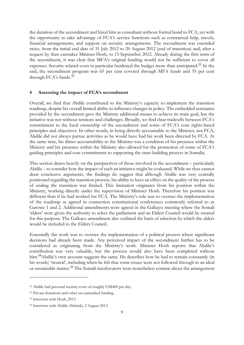the duration of the secondment and hired him as consultant without formal bond to FCA, yet with the opportunity to take advantage of FCA's service functions such as contractual help, travels, financial arrangements, and support on security arrangements. The secondment was extended twice, from the initial end date of 31 July 2012 to 20 August 2012 (end of transition) and, after a request by then caretaker Minister Hosh, to 15 September 2012. Already during the first term of the secondment, it was clear that MFA's original funding would not be sufficient to cover all expenses. Security-related costs in particular burdened the budget more than anticipated.<sup>32</sup> In the end, the secondment program was 65 per cent covered through MFA funds and 35 per cent through FCA's funds.<sup>33</sup>

## **4 Assessing the impact of FCA's secondment**

Overall, we find that Abdile contributed to the Ministry's capacity to implement the transition roadmap, despite his overall limited ability to influence changes in policy. The embedded assistance provided by the secondment gave the Ministry additional means to achieve its main goal, but the initiative was not without tensions and challenges. Broadly, we find clear tradeoffs between FCA's commitment to the local ownership of the secondment and some of FCA's core rights-based principles and objectives. In other words, in being directly accountable to the Minister, not FCA, Abdile did not always pursue activities as he would have had his work been directed by FCA. At the same time, his direct accountability to the Minister was a condition of his presence within the Ministry and his presence within the Ministry also allowed for the promotion of some of FCA's guiding principles and core commitment to supporting the state-building process in Somalia.

This section draws heavily on the perspectives of those involved in the secondment – particularly Abdile – to consider how the impact of such an initiative might be evaluated. While we thus cannot draw conclusive arguments, the findings do suggest that although Abdile was very centrally positioned regarding the transition process, his ability to have an effect on the quality of the process of ending the transition was limited. This limitation originates from his position within the Ministry, working directly under the supervision of Minister Hosh. Therefore his position was different than if he had worked for FCA. The Ministry's role was to oversee the implementation of the roadmap as agreed in connection constitutional conferences commonly referred to as Garowe 1 and 2. Additional amendments were agreed in the Galkayo meeting where the Somali 'elders' were given the authority to select the parliament and an Elders Council would be created for this purpose. The Galkayo amendment also outlined the basis of selection by which the elders would be included to the Elders Council.

Essentially the work was to oversee the implementation of a political process where significant decisions had already been made. Any perceived impact of the secondment further has to be considered as originating from the Ministry's work. Minister Hosh reports that Abdile's contribution was very valuable, but the process would also have been completed without him.<sup>34</sup>Abdile's own account suggests the same. He describes how he had to remain constantly (in his words) 'neutral', including when he felt that some issues were not followed through in an ideal or sustainable matter.<sup>35</sup> The Somali interlocutors were nonetheless content about the arrangement

<sup>32</sup> Abdile had personal security costs of roughly US\$400 per day.

<sup>33</sup> Private donations and other un-earmarked funding.

<sup>34</sup> Interview with Hosh, 2013.

<sup>35</sup> Interview with Abdile, Helsinki, 2 August 2013.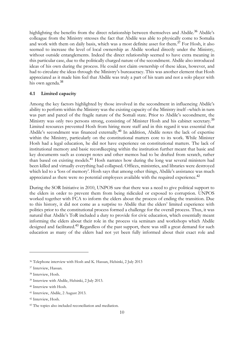highlighting the benefits from the direct relationship between themselves and Abdile.<sup>36</sup> Abdile's colleague from the Ministry stresses the fact that Abdile was able to physically come to Somalia and work with them on daily basis, which was a most definite asset for them.<sup>37</sup> For Hosh, it also seemed to increase the level of local ownership as Abdile worked directly under the Ministry, without outside entanglements. Indeed the direct relationship seemed to have extra meaning in this particular case, due to the politically charged nature of the secondment. Abdile also introduced ideas of his own during the process. He could not claim ownership of these ideas, however, and had to circulate the ideas through the Ministry's bureaucracy. This was another element that Hosh appreciated as it made him feel that Abdile was truly a part of his team and not a solo player with his own agenda.<sup>38</sup>

# **4.1 Limited capacity**

Among the key factors highlighted by those involved in the secondment in influencing Abdile's ability to perform within the Ministry was the existing capacity of the Ministry itself –which in turn was part and parcel of the fragile nature of the Somali state. Prior to Abdile's secondment, the Ministry was only two persons strong, consisting of Minister Hosh and his cabinet secretary.<sup>39</sup> Limited resources prevented Hosh from hiring more staff and in this regard it was essential that Abdile's secondment was financed externally.<sup>40</sup> In addition, Abdile notes the lack of expertise within the Ministry, particularly on the constitutional matters core to its work. While Minister Hosh had a legal education, he did not have experience on constitutional matters. The lack of institutional memory and basic recordkeeping within the institution further meant that basic and key documents such as concept notes and other memos had to be drafted from scratch, rather than based on existing models.<sup>41</sup> Hosh narrates how during the long war several ministers had been killed and virtually everything had collapsed. Offices, ministries, and libraries were destroyed which led to a 'loss of memory'. Hosh says that among other things, Abdile's assistance was much appreciated as there were no potential employees available with the required experience.<sup>42</sup>

During the SOR Initiative in 2010, UNPOS saw that there was a need to give political support to the elders in order to prevent them from being ridiculed or exposed to corruption. UNPOS worked together with FCA to inform the elders about the process of ending the transition. Due to this history, it did not come as a surprise to Abdile that the elders' limited experience with politics prior to the constitutional process formed a challenge for the overall process. Thus, it was natural that Abdile's ToR included a duty to provide for civic education, which essentially meant informing the elders about their role in the process via seminars and workshops which Abdile designed and facilitated.<sup>43</sup> Regardless of the past support, there was still a great demand for such education as many of the elders had not yet been fully informed about their exact role and

<sup>36</sup> Telephone interview with Hosh and K. Hassan, Helsinki, 2 July 2013

<sup>37</sup> Interview, Hassan.

<sup>38</sup> Interview, Hosh.

<sup>39</sup> Interview with Abdile, Helsinki, 2 July 2013.

<sup>40</sup> Interview with Hosh.

<sup>41</sup> Interview, Abdile, 2 August 2013.

<sup>42</sup> Interview, Hosh.

<sup>43</sup> The topics also included reconciliation and mediation.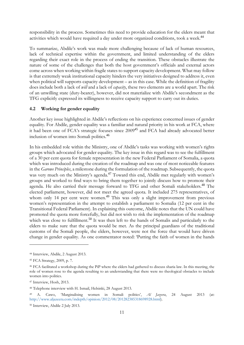responsibility in the process. Sometimes this need to provide education for the elders meant that activities which would have required a day under more organized conditions, took a week.<sup>44</sup>

To summarize, Abdile's work was made more challenging because of lack of human resources, lack of technical expertise within the government, and limited understanding of the elders regarding their exact role in the process of ending the transition. These obstacles illustrate the nature of some of the challenges that both the host government's officials and external actors come across when working within fragile states to support capacity development. What may follow is that extremely weak institutional capacity hinders the very initiatives designed to address it, even when political will supports capacity development – as in this case. While the definition of fragility does include both a lack of *will* and a lack of *capacity*, these two elements are a world apart. The risk of an unwilling state (duty-bearer), however, did not materialize with Abdile's secondment as the TFG explicitly expressed its willingness to receive capacity support to carry out its duties.

### **4.2 Working for gender equality**

Another key issue highlighted in Abdile's reflections on his experience concerned issues of gender equality. For Abdile, gender equality was a familiar and natural priority in his work at FCA, where it had been one of FCA's strategic focuses since 2009<sup>45</sup> and FCA had already advocated better inclusion of women into Somali politics.<sup>46</sup>

In his embedded role within the Ministry, one of Abdile's tasks was working with women's rights groups which advocated for gender equality. The key issue in this regard was to see the fulfillment of a 30 per cent quota for female representation in the new Federal Parliament of Somalia, a quota which was introduced during the creation of the roadmap and was one of most noticeable features in the *Garowe Principles*, a milestone during the formulation of the roadmap. Subsequently, the quota was very much on the Ministry's agenda.<sup>47</sup> Toward this end, Abdile met regularly with women's groups and worked to find ways to bring them together to jointly discuss how to promote their agenda. He also carried their message forward to TFG and other Somali stakeholders.<sup>48</sup> The elected parliament, however, did not meet the agreed quota. It included 275 representatives, of whom only 14 per cent were women.<sup>49</sup> This was only a slight improvement from previous women's representation in the attempt to establish a parliament to Somalia (12 per cent in the Transitional Federal Parliament). In explaining this outcome, Abdile notes that the UN could have promoted the quota more forcefully, but did not wish to risk the implementation of the roadmap which was close to fulfillment.<sup>50</sup> It was then left to the hands of Somalis and particularly to the elders to make sure that the quota would be met. As the principal guardians of the traditional customs of the Somali people, the elders, however, were not the force that would have driven change in gender equality. As one commentator noted: 'Putting the faith of women in the hands

-

<sup>44</sup> Interview, Abdile, 2 August 2013.

<sup>45</sup> FCA Strategy, 2009, p. 7.

<sup>46</sup> FCA facilitated a workshop during the PiP where the elders had gathered to discuss sharia law. In this meeting, the role of women rose to the agenda resulting to an understanding that there were no theological obstacles to include women into politics.

<sup>47</sup> Interview, Hosh, 2013.

<sup>48</sup> Telephone interview with H. Ismail, Helsinki, 28 August 2013.

<sup>49</sup> A. Cawo, 'Marginalising women in Somali politics', *Al Jazeera*, 24 August 2013 (at: http://www.aljazeera.com/indepth/opinion/2012/08/201282385318698928.html).

<sup>50</sup> Interview, Abdile 2 July 2013.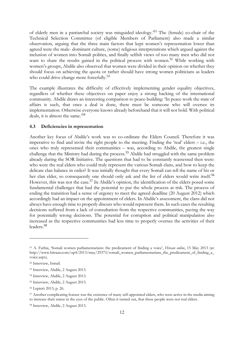of elderly men in a patriarchal society was misguided ideology.'<sup>51</sup> The (female) co-chair of the Technical Selection Committee (of eligible Members of Parliament) also made a similar observation, arguing that the three main factors that kept women's representation lower than agreed were the male- dominant culture, (some) religious interpretations which argued against the inclusion of women into Somali politics, and finally selfish views of too many men who did not want to share the results gained in the political process with women.<sup>52</sup> While working with women's groups, Abdile also observed that women were divided in their opinion on whether they should focus on achieving the quota or rather should have strong women politicians as leaders who could drive change more forcefully.<sup>53</sup>

The example illustrates the difficulty of effectively implementing gender equality objectives, regardless of whether these objectives on paper enjoy a strong backing of the international community. Abdile draws an interesting comparison to peace-building: 'In peace work the state of affairs is such, that once a deal is done, there must be someone who will oversee its implementation. Otherwise everyone knows already beforehand that it will not hold. With political deals, it is almost the same.'<sup>54</sup>

#### **4.3 Deficiencies in representation**

Another key focus of Abdile's work was to co-ordinate the Elders Council. Therefore it was imperative to find and invite the right people to the meeting. Finding the 'real' elders – i.e., the ones who truly represented their communities – was, according to Abdile, the greatest single challenge that the Ministry had during the process.<sup>55</sup> Abdile had struggled with the same problem already during the SOR Initiative. The questions that had to be constantly reassessed then were: who were the real elders who could truly represent the various Somali clans, and how to keep the delicate clan balance in order? It was initially thought that every Somali can tell the name of his or her clan elder, so consequently one should only ask and the list of elders would write itself.<sup>56</sup> However, this was not the case.<sup>57</sup> In Abdile's opinion, the identification of the elders posed some fundamental challenges that had the potential to put the whole process at risk. The process of ending the transition had a sense of urgency to meet the agreed deadline (20 August 2012) which accordingly had an impact on the appointment of elders. In Abdile's assessment, the clans did not always have enough time to properly discuss who would represent them. In such cases the resulting decisions suffered from a lack of consultation from the respective communities, paving the way for potentially wrong decisions. The potential for corruption and political manipulation also increased as the respective communities had less time to properly oversee the activities of their leaders.<sup>58</sup>

<sup>51</sup> A. Farhia, 'Somali women parliamentarians: the predicament of finding a voice', *Hiraan online*, 15 May 2013 (at: http://www.hiiraan.com/op4/2013/may/29375/somali\_women\_parliamentarians\_the\_predicament\_of\_finding\_a\_ voice.aspx).

<sup>52</sup> Interview, Ismail.

<sup>53</sup> Interview, Abdile, 2 August 2013.

<sup>54</sup> Interview, Abdile, 2 August 2013.

<sup>55</sup> Interview, Abdile, 2 August 2013.

<sup>56</sup> Lepistö 2013, p. 26.

<sup>57</sup> Another complicating feature was the existence of many self-appointed elders, who were active in the media aiming to increase their status in the eyes of the public. Often it turned out, that these people were not real elders.

<sup>58</sup> Interview, Abdile, 2 August 2013.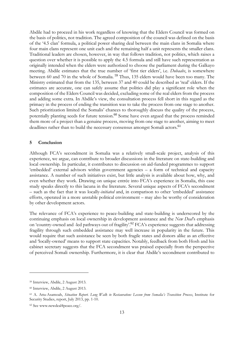Abdile had to proceed in his work regardless of knowing that the Elders Council was formed on the basis of politics, not tradition. The agreed composition of the council was defined on the basis of the '4.5 clan' formula, a political power sharing deal between the main clans in Somalia where four main clans represent one unit each and the remaining half a unit represents the smaller clans. Traditional leaders are chosen, however, in way that follows tradition, not politics, which raises a question over whether it is possible to apply the 4.5 formula and still have such representation as originally intended when the elders were authorized to choose the parliament during the Galkayo meeting. Abdile estimates that the true number of 'first tier elders', i.e. *Dubaabs*, is somewhere between 60 and 70 in the whole of Somalia.<sup>59</sup> Thus, 135 elders would have been too many. The Ministry estimated that from the 135, between 37 and 40 could be described as 'real' elders. If the estimates are accurate, one can safely assume that politics did play a significant role when the composition of the Elders Council was decided, excluding some of the real elders from the process and adding some extra. In Abdile's view, the consultation process fell short in this regard as the primacy in the process of ending the transition was to take the process from one stage to another. Such prioritization limited the Somalis' chances to thoroughly discuss the quality of the process, potentially planting seeds for future tension.<sup>60</sup> Some have even argued that the process reminded them more of a project than a genuine process, moving from one stage to another, aiming to meet deadlines rather than to build the necessary consensus amongst Somali actors.<sup>61</sup>

## **5 Conclusion**

Although FCA's secondment in Somalia was a relatively small-scale project, analysis of this experience, we argue, can contribute to broader discussions in the literature on state-building and local ownership. In particular, it contributes to discussion on aid-funded programmes to support 'embedded' external advisors within government agencies – a form of technical and capacity assistance. A number of such initiatives exist, but little analysis is available about how, why, and even whether they work. Drawing on unique entrée into FCA's experience in Somalia, this case study speaks directly to this lacuna in the literature. Several unique aspects of FCA's secondment – such as the fact that it was locally-*initiated* and, in comparison to other 'embedded' assistance efforts, operated in a more unstable political environment – may also be worthy of consideration by other development actors.

The relevance of FCA's experience to peace-building and state-building is underscored by the continuing emphasis on local ownership in development assistance and the *New Deal*'s emphasis on 'country-owned and -led pathways out of fragility'.<sup>62</sup> FCA's experience suggests that addressing fragility through such embedded assistance may well increase in popularity in the future. This would require that such assistance be seen by both fragile states and donors alike as an effective and 'locally-owned' means to support state capacities. Notably, feedback from both Hosh and his cabinet secretary suggests that the FCA secondment was praised especially from the perspective of perceived Somali ownership. Furthermore, it is clear that Abdile's secondment contributed to

<sup>59</sup> Interview, Abdile, 2 August 2013.

<sup>60</sup> Interview, Abdile, 2 August 2013.

<sup>61</sup> A. Atta-Asamoah, *Situation Report. Long Walk to Restauration: Lesson from Somalia's Transition Process*, Institute for Security Studies, report, July 2013, pp. 1-10.

<sup>62</sup> See www.newdeal4peace.org/.